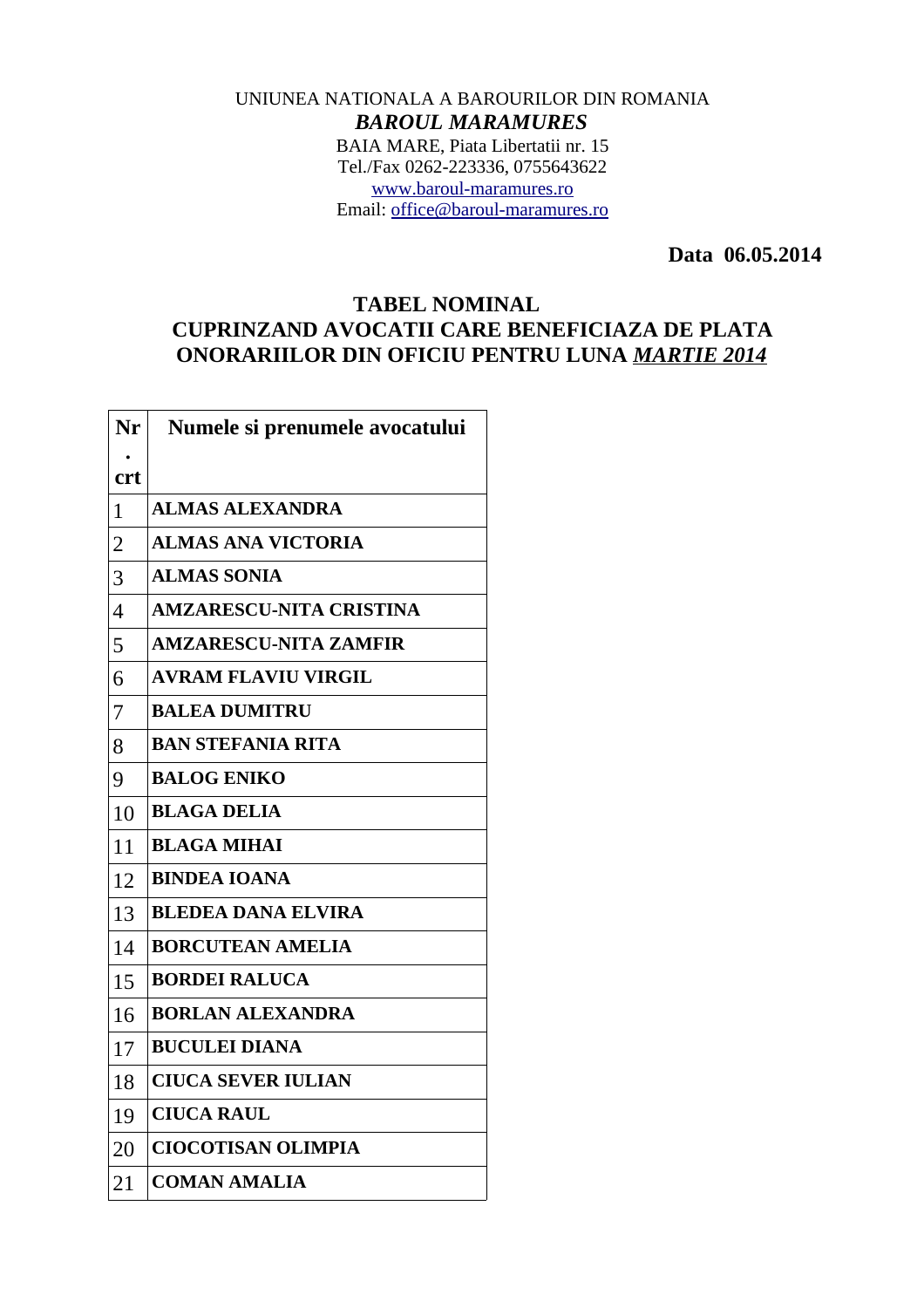## UNIUNEA NATIONALA A BAROURILOR DIN ROMANIA *BAROUL MARAMURES* BAIA MARE, Piata Libertatii nr. 15 Tel./Fax 0262-223336, 0755643622 [www.baroul-maramures.ro](http://www.baroul-maramures.ro/) Email: [office@baroul-maramures.ro](mailto:office@baroul-maramures.ro)

 **Data 06.05.2014**

## **TABEL NOMINAL CUPRINZAND AVOCATII CARE BENEFICIAZA DE PLATA ONORARIILOR DIN OFICIU PENTRU LUNA** *MARTIE 2014*

| Nr             | Numele si prenumele avocatului |
|----------------|--------------------------------|
| crt            |                                |
| $\mathbf{1}$   | <b>ALMAS ALEXANDRA</b>         |
| $\overline{2}$ | <b>ALMAS ANA VICTORIA</b>      |
| 3              | <b>ALMAS SONIA</b>             |
| $\overline{4}$ | <b>AMZARESCU-NITA CRISTINA</b> |
| 5              | <b>AMZARESCU-NITA ZAMFIR</b>   |
| 6              | <b>AVRAM FLAVIU VIRGIL</b>     |
| 7              | <b>BALEA DUMITRU</b>           |
| 8              | <b>BAN STEFANIA RITA</b>       |
| 9              | <b>BALOG ENIKO</b>             |
| 10             | <b>BLAGA DELIA</b>             |
| 11             | <b>BLAGA MIHAI</b>             |
| 12             | <b>BINDEA IOANA</b>            |
| 13             | <b>BLEDEA DANA ELVIRA</b>      |
| 14             | <b>BORCUTEAN AMELIA</b>        |
| 15             | <b>BORDEI RALUCA</b>           |
| 16             | <b>BORLAN ALEXANDRA</b>        |
| 17             | <b>BUCULEI DIANA</b>           |
| 18             | <b>CIUCA SEVER IULIAN</b>      |
| 19             | <b>CIUCA RAUL</b>              |
| 20             | <b>CIOCOTISAN OLIMPIA</b>      |
| 21             | <b>COMAN AMALIA</b>            |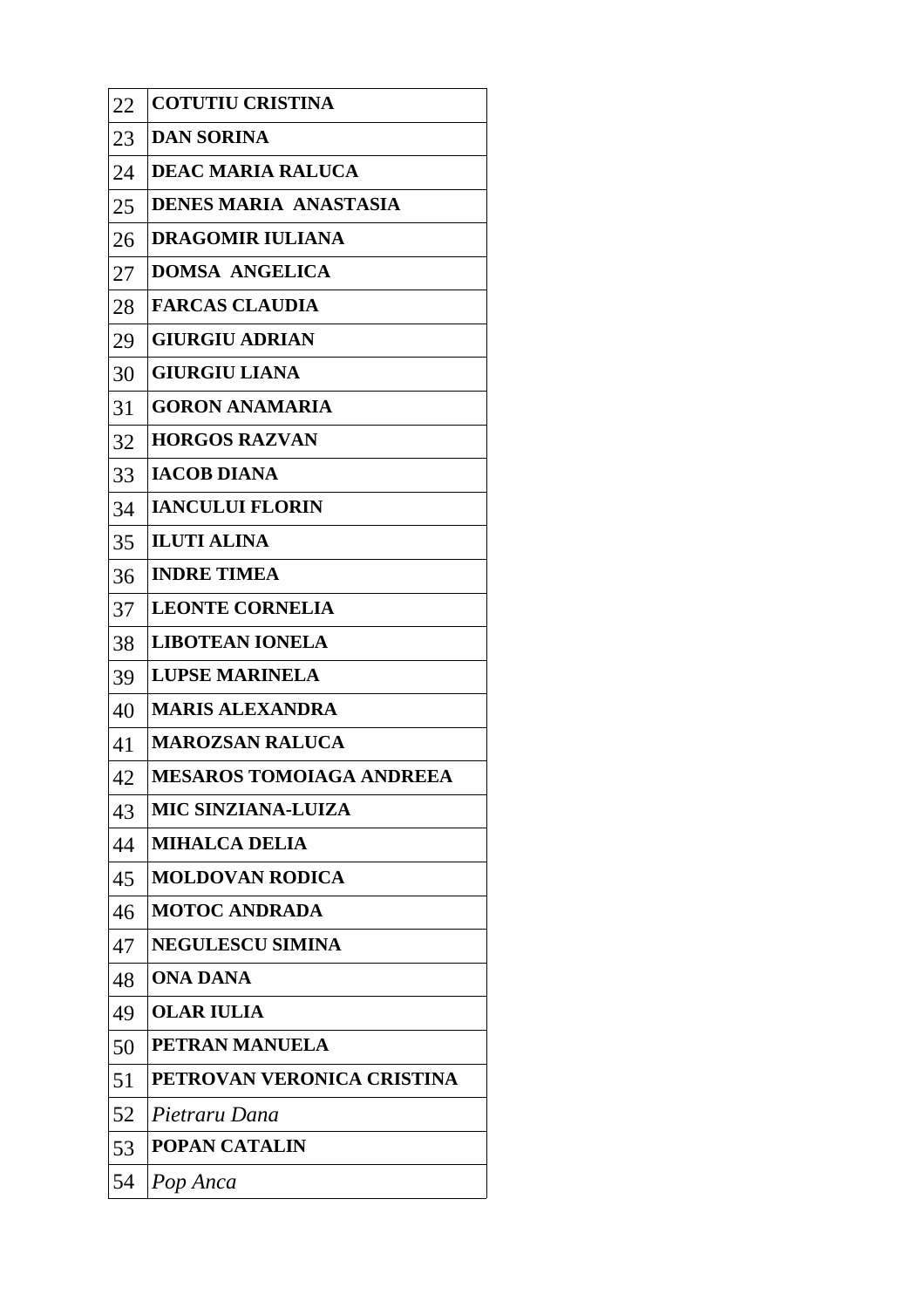| 22 | <b>COTUTIU CRISTINA</b>         |
|----|---------------------------------|
| 23 | <b>DAN SORINA</b>               |
| 24 | <b>DEAC MARIA RALUCA</b>        |
| 25 | <b>DENES MARIA ANASTASIA</b>    |
| 26 | <b>DRAGOMIR IULIANA</b>         |
| 27 | <b>DOMSA ANGELICA</b>           |
| 28 | <b>FARCAS CLAUDIA</b>           |
| 29 | <b>GIURGIU ADRIAN</b>           |
| 30 | <b>GIURGIU LIANA</b>            |
| 31 | <b>GORON ANAMARIA</b>           |
| 32 | <b>HORGOS RAZVAN</b>            |
| 33 | <b>IACOB DIANA</b>              |
| 34 | <b>IANCULUI FLORIN</b>          |
| 35 | <b>ILUTI ALINA</b>              |
| 36 | <b>INDRE TIMEA</b>              |
| 37 | <b>LEONTE CORNELIA</b>          |
| 38 | <b>LIBOTEAN IONELA</b>          |
| 39 | <b>LUPSE MARINELA</b>           |
| 40 | <b>MARIS ALEXANDRA</b>          |
| 41 | <b>MAROZSAN RALUCA</b>          |
| 42 | <b>MESAROS TOMOIAGA ANDREEA</b> |
| 43 | <b>MIC SINZIANA-LUIZA</b>       |
| 44 | <b>MIHALCA DELIA</b>            |
| 45 | <b>MOLDOVAN RODICA</b>          |
| 46 | <b>MOTOC ANDRADA</b>            |
| 47 | <b>NEGULESCU SIMINA</b>         |
| 48 | <b>ONA DANA</b>                 |
| 49 | <b>OLAR IULIA</b>               |
| 50 | <b>PETRAN MANUELA</b>           |
| 51 | PETROVAN VERONICA CRISTINA      |
| 52 | Pietraru Dana                   |
| 53 | <b>POPAN CATALIN</b>            |
| 54 | Pop Anca                        |